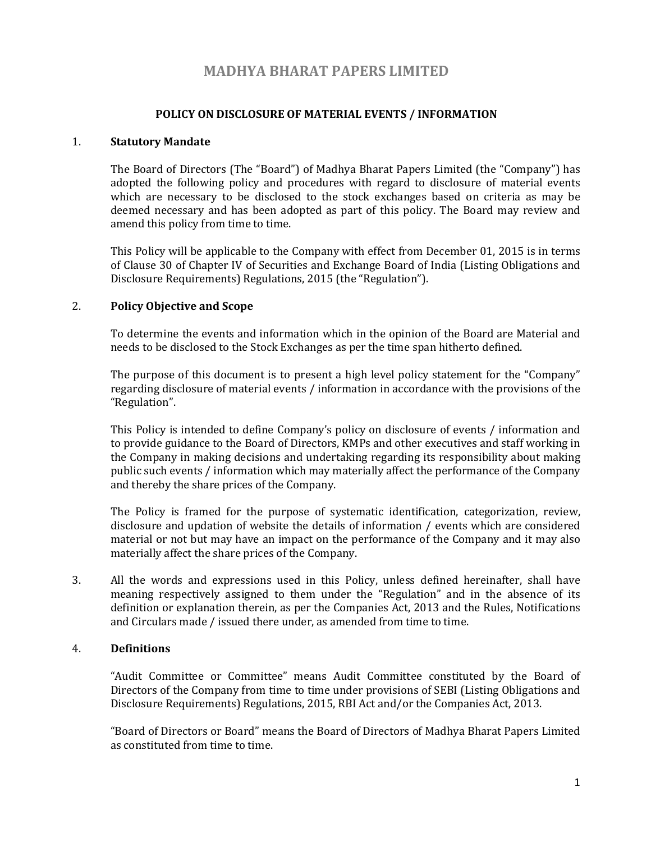# MADHYA BHARAT PAPERS LIMITED

## POLICY ON DISCLOSURE OF MATERIAL EVENTS / INFORMATION

#### 1. Statutory Mandate

The Board of Directors (The "Board") of Madhya Bharat Papers Limited (the "Company") has adopted the following policy and procedures with regard to disclosure of material events which are necessary to be disclosed to the stock exchanges based on criteria as may be deemed necessary and has been adopted as part of this policy. The Board may review and amend this policy from time to time.

This Policy will be applicable to the Company with effect from December 01, 2015 is in terms of Clause 30 of Chapter IV of Securities and Exchange Board of India (Listing Obligations and Disclosure Requirements) Regulations, 2015 (the "Regulation").

## 2. Policy Objective and Scope

To determine the events and information which in the opinion of the Board are Material and needs to be disclosed to the Stock Exchanges as per the time span hitherto defined.

The purpose of this document is to present a high level policy statement for the "Company" regarding disclosure of material events / information in accordance with the provisions of the "Regulation".

This Policy is intended to define Company's policy on disclosure of events / information and to provide guidance to the Board of Directors, KMPs and other executives and staff working in the Company in making decisions and undertaking regarding its responsibility about making public such events / information which may materially affect the performance of the Company and thereby the share prices of the Company.

The Policy is framed for the purpose of systematic identification, categorization, review, disclosure and updation of website the details of information / events which are considered material or not but may have an impact on the performance of the Company and it may also materially affect the share prices of the Company.

3. All the words and expressions used in this Policy, unless defined hereinafter, shall have meaning respectively assigned to them under the "Regulation" and in the absence of its definition or explanation therein, as per the Companies Act, 2013 and the Rules, Notifications and Circulars made / issued there under, as amended from time to time.

## 4. Definitions

"Audit Committee or Committee" means Audit Committee constituted by the Board of Directors of the Company from time to time under provisions of SEBI (Listing Obligations and Disclosure Requirements) Regulations, 2015, RBI Act and/or the Companies Act, 2013.

"Board of Directors or Board" means the Board of Directors of Madhya Bharat Papers Limited as constituted from time to time.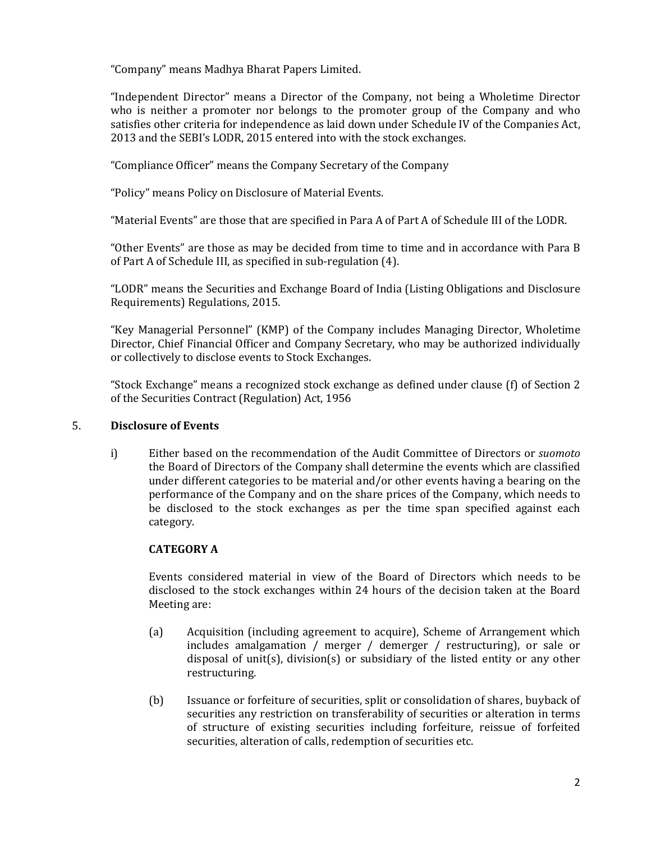"Company" means Madhya Bharat Papers Limited.

"Independent Director" means a Director of the Company, not being a Wholetime Director who is neither a promoter nor belongs to the promoter group of the Company and who satisfies other criteria for independence as laid down under Schedule IV of the Companies Act, 2013 and the SEBI's LODR, 2015 entered into with the stock exchanges.

"Compliance Officer" means the Company Secretary of the Company

"Policy" means Policy on Disclosure of Material Events.

"Material Events" are those that are specified in Para A of Part A of Schedule III of the LODR.

"Other Events" are those as may be decided from time to time and in accordance with Para B of Part A of Schedule III, as specified in sub-regulation (4).

"LODR" means the Securities and Exchange Board of India (Listing Obligations and Disclosure Requirements) Regulations, 2015.

"Key Managerial Personnel" (KMP) of the Company includes Managing Director, Wholetime Director, Chief Financial Officer and Company Secretary, who may be authorized individually or collectively to disclose events to Stock Exchanges.

"Stock Exchange" means a recognized stock exchange as defined under clause (f) of Section 2 of the Securities Contract (Regulation) Act, 1956

#### 5. Disclosure of Events

i) Either based on the recommendation of the Audit Committee of Directors or suomoto the Board of Directors of the Company shall determine the events which are classified under different categories to be material and/or other events having a bearing on the performance of the Company and on the share prices of the Company, which needs to be disclosed to the stock exchanges as per the time span specified against each category.

# CATEGORY A

Events considered material in view of the Board of Directors which needs to be disclosed to the stock exchanges within 24 hours of the decision taken at the Board Meeting are:

- (a) Acquisition (including agreement to acquire), Scheme of Arrangement which includes amalgamation / merger / demerger / restructuring), or sale or disposal of unit(s), division(s) or subsidiary of the listed entity or any other restructuring.
- (b) Issuance or forfeiture of securities, split or consolidation of shares, buyback of securities any restriction on transferability of securities or alteration in terms of structure of existing securities including forfeiture, reissue of forfeited securities, alteration of calls, redemption of securities etc.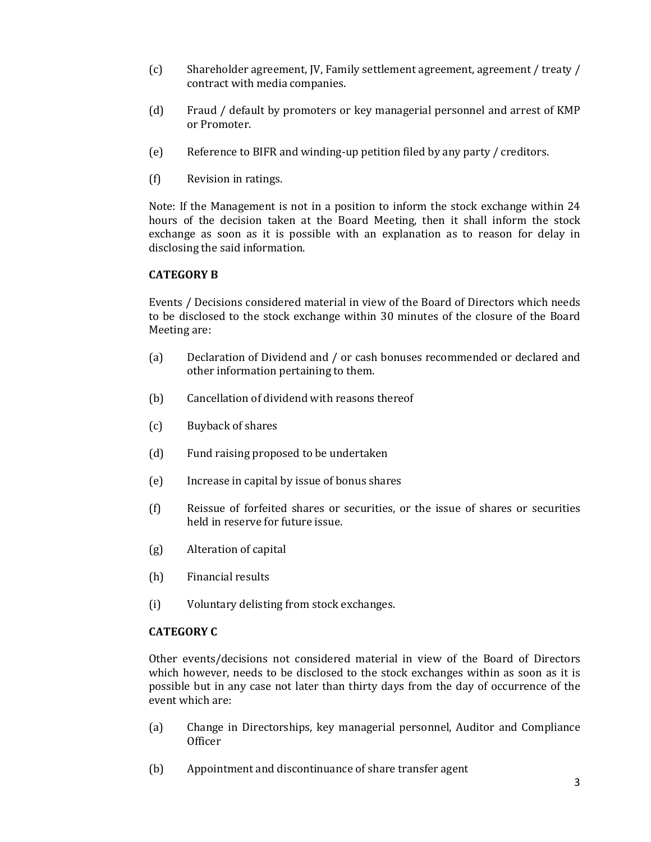- (c) Shareholder agreement, JV, Family settlement agreement, agreement / treaty / contract with media companies.
- (d) Fraud / default by promoters or key managerial personnel and arrest of KMP or Promoter.
- (e) Reference to BIFR and winding-up petition filed by any party / creditors.
- (f) Revision in ratings.

Note: If the Management is not in a position to inform the stock exchange within 24 hours of the decision taken at the Board Meeting, then it shall inform the stock exchange as soon as it is possible with an explanation as to reason for delay in disclosing the said information.

## CATEGORY B

Events / Decisions considered material in view of the Board of Directors which needs to be disclosed to the stock exchange within 30 minutes of the closure of the Board Meeting are:

- (a) Declaration of Dividend and / or cash bonuses recommended or declared and other information pertaining to them.
- (b) Cancellation of dividend with reasons thereof
- (c) Buyback of shares
- (d) Fund raising proposed to be undertaken
- (e) Increase in capital by issue of bonus shares
- (f) Reissue of forfeited shares or securities, or the issue of shares or securities held in reserve for future issue.
- (g) Alteration of capital
- (h) Financial results
- (i) Voluntary delisting from stock exchanges.

#### CATEGORY C

Other events/decisions not considered material in view of the Board of Directors which however, needs to be disclosed to the stock exchanges within as soon as it is possible but in any case not later than thirty days from the day of occurrence of the event which are:

- (a) Change in Directorships, key managerial personnel, Auditor and Compliance **Officer**
- (b) Appointment and discontinuance of share transfer agent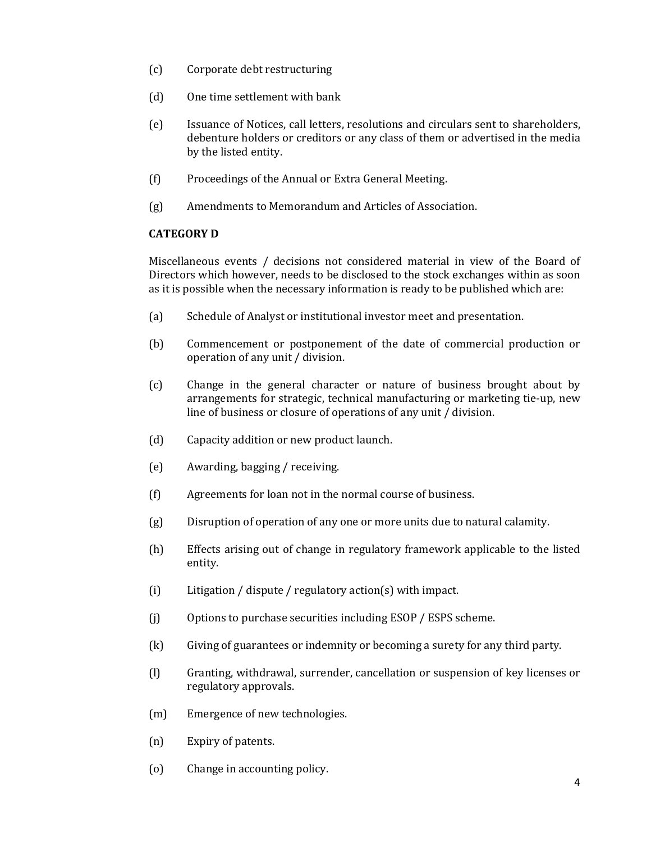- (c) Corporate debt restructuring
- (d) One time settlement with bank
- (e) Issuance of Notices, call letters, resolutions and circulars sent to shareholders, debenture holders or creditors or any class of them or advertised in the media by the listed entity.
- (f) Proceedings of the Annual or Extra General Meeting.
- (g) Amendments to Memorandum and Articles of Association.

## CATEGORY D

Miscellaneous events / decisions not considered material in view of the Board of Directors which however, needs to be disclosed to the stock exchanges within as soon as it is possible when the necessary information is ready to be published which are:

- (a) Schedule of Analyst or institutional investor meet and presentation.
- (b) Commencement or postponement of the date of commercial production or operation of any unit / division.
- (c) Change in the general character or nature of business brought about by arrangements for strategic, technical manufacturing or marketing tie-up, new line of business or closure of operations of any unit / division.
- (d) Capacity addition or new product launch.
- (e) Awarding, bagging / receiving.
- (f) Agreements for loan not in the normal course of business.
- (g) Disruption of operation of any one or more units due to natural calamity.
- (h) Effects arising out of change in regulatory framework applicable to the listed entity.
- (i) Litigation / dispute / regulatory action(s) with impact.
- (j) Options to purchase securities including ESOP / ESPS scheme.
- (k) Giving of guarantees or indemnity or becoming a surety for any third party.
- (l) Granting, withdrawal, surrender, cancellation or suspension of key licenses or regulatory approvals.
- (m) Emergence of new technologies.
- (n) Expiry of patents.
- (o) Change in accounting policy.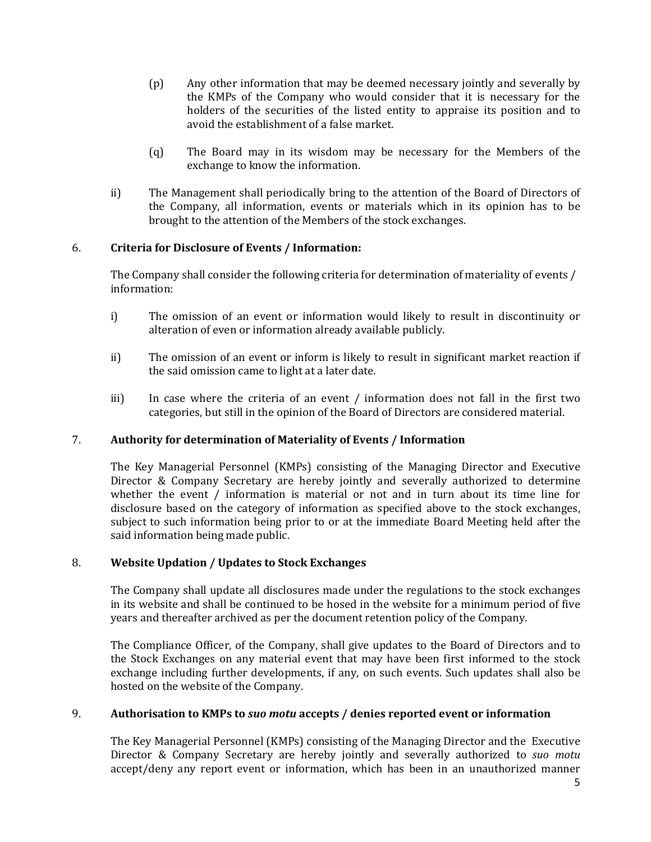- (p) Any other information that may be deemed necessary jointly and severally by the KMPs of the Company who would consider that it is necessary for the holders of the securities of the listed entity to appraise its position and to avoid the establishment of a false market.
- (q) The Board may in its wisdom may be necessary for the Members of the exchange to know the information.
- ii) The Management shall periodically bring to the attention of the Board of Directors of the Company, all information, events or materials which in its opinion has to be brought to the attention of the Members of the stock exchanges.

# 6. Criteria for Disclosure of Events / Information:

The Company shall consider the following criteria for determination of materiality of events / information:

- i) The omission of an event or information would likely to result in discontinuity or alteration of even or information already available publicly.
- ii) The omission of an event or inform is likely to result in significant market reaction if the said omission came to light at a later date.
- iii) In case where the criteria of an event / information does not fall in the first two categories, but still in the opinion of the Board of Directors are considered material.

#### 7. Authority for determination of Materiality of Events / Information

The Key Managerial Personnel (KMPs) consisting of the Managing Director and Executive Director & Company Secretary are hereby jointly and severally authorized to determine whether the event / information is material or not and in turn about its time line for disclosure based on the category of information as specified above to the stock exchanges, subject to such information being prior to or at the immediate Board Meeting held after the said information being made public.

#### 8. Website Updation / Updates to Stock Exchanges

The Company shall update all disclosures made under the regulations to the stock exchanges in its website and shall be continued to be hosed in the website for a minimum period of five years and thereafter archived as per the document retention policy of the Company.

The Compliance Officer, of the Company, shall give updates to the Board of Directors and to the Stock Exchanges on any material event that may have been first informed to the stock exchange including further developments, if any, on such events. Such updates shall also be hosted on the website of the Company.

#### 9. Authorisation to KMPs to suo motu accepts / denies reported event or information

The Key Managerial Personnel (KMPs) consisting of the Managing Director and the Executive Director & Company Secretary are hereby jointly and severally authorized to suo motu accept/deny any report event or information, which has been in an unauthorized manner